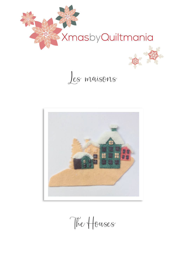







The Houses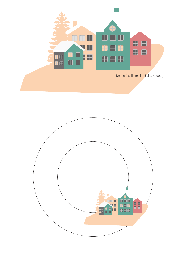

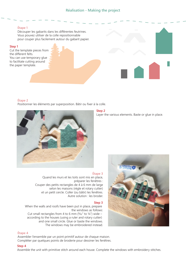## **Étape 1**

Découper les gabarits dans les différentes feutrines. Vous pouvez utiliser de la colle repositionnable pour couper plus facilement autour du gabarit papier.

## **Step 1**

Cut the template pieces from the different felts. You can use temporary glue to facilitate cutting around the paper template.

## **Étape 2**

Positionner les éléments par superposition. Bâtir ou fixer à la colle.



# **Step 2**

Layer the various elements. Baste or glue in place.



Quand les murs et les toits sont mis en place, préparer les fenêtres : Couper des petits rectangles de 4 à 6 mm de large selon les maisons (règle et rotary cutter) et un petit cercle. Coller (ou bâtir) les fenêtres. Autre solution : les broder.

#### **Step 3**

When the walls and roofs have been put in place, prepare the windows as follows: Cut small rectangles from 4 to 6 mm ( $\frac{5}{32}$ " to  $\frac{1}{4}$ ") wide – according to the houses (using a ruler and rotary cutter) and one small circle. Glue or baste the windows. The windows may be embroidered instead.

## **Étape 4**

Assembler l'ensemble par un point primitif autour de chaque maison. Compléter par quelques points de broderie pour dessiner les fenêtres.



## **Step 4**

Assemble the unit with primitive stitch around each house. Complete the windows with embroidery stitches.